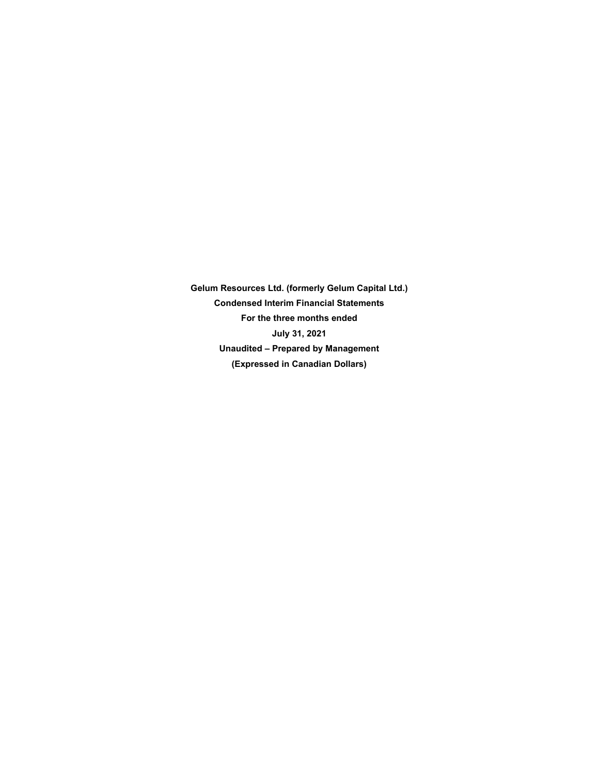**Gelum Resources Ltd. (formerly Gelum Capital Ltd.) Condensed Interim Financial Statements For the three months ended July 31, 2021 Unaudited – Prepared by Management (Expressed in Canadian Dollars)**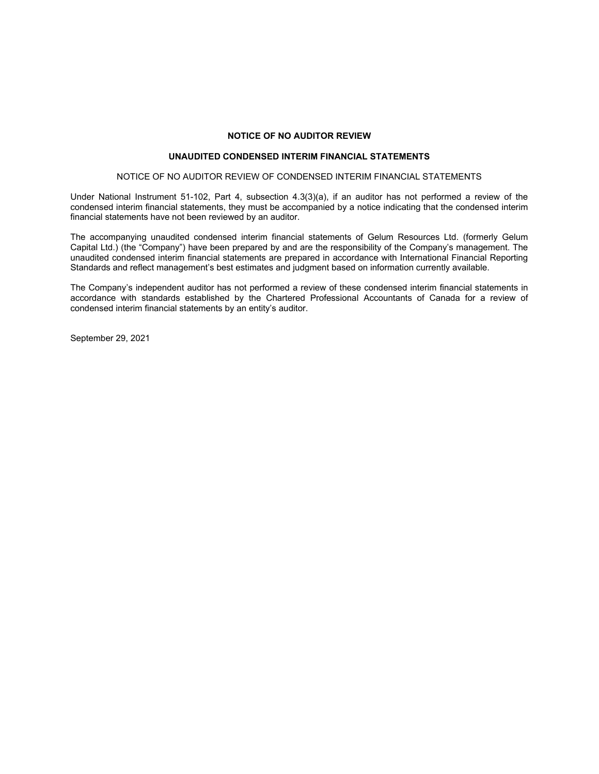## **NOTICE OF NO AUDITOR REVIEW**

## **UNAUDITED CONDENSED INTERIM FINANCIAL STATEMENTS**

#### NOTICE OF NO AUDITOR REVIEW OF CONDENSED INTERIM FINANCIAL STATEMENTS

Under National Instrument 51-102, Part 4, subsection 4.3(3)(a), if an auditor has not performed a review of the condensed interim financial statements, they must be accompanied by a notice indicating that the condensed interim financial statements have not been reviewed by an auditor.

The accompanying unaudited condensed interim financial statements of Gelum Resources Ltd. (formerly Gelum Capital Ltd.) (the "Company") have been prepared by and are the responsibility of the Company's management. The unaudited condensed interim financial statements are prepared in accordance with International Financial Reporting Standards and reflect management's best estimates and judgment based on information currently available.

The Company's independent auditor has not performed a review of these condensed interim financial statements in accordance with standards established by the Chartered Professional Accountants of Canada for a review of condensed interim financial statements by an entity's auditor.

September 29, 2021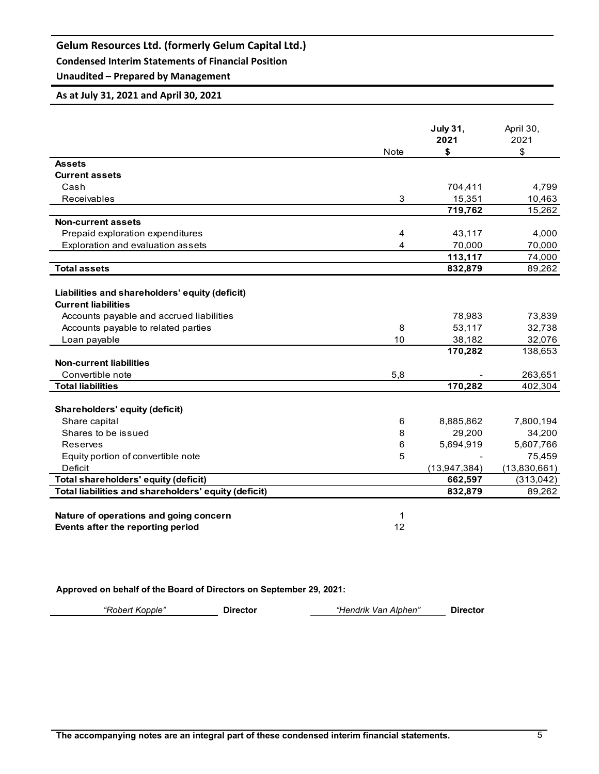**Condensed Interim Statements of Financial Position**

# **Unaudited – Prepared by Management**

## **As at July 31, 2021 and April 30, 2021**

|                                                      | <b>Note</b>    | <b>July 31,</b><br>2021<br>\$ | April 30,<br>2021<br>\$ |
|------------------------------------------------------|----------------|-------------------------------|-------------------------|
| <b>Assets</b>                                        |                |                               |                         |
| <b>Current assets</b>                                |                |                               |                         |
| Cash                                                 |                | 704,411                       | 4,799                   |
| Receivables                                          | 3              | 15,351                        | 10,463                  |
|                                                      |                | 719,762                       | 15,262                  |
| <b>Non-current assets</b>                            |                |                               |                         |
| Prepaid exploration expenditures                     | $\overline{4}$ | 43,117                        | 4,000                   |
| Exploration and evaluation assets                    | 4              | 70,000                        | 70,000                  |
|                                                      |                | 113,117                       | 74,000                  |
| <b>Total assets</b>                                  |                | 832,879                       | 89,262                  |
|                                                      |                |                               |                         |
| Liabilities and shareholders' equity (deficit)       |                |                               |                         |
| <b>Current liabilities</b>                           |                |                               |                         |
| Accounts payable and accrued liabilities             |                | 78,983                        | 73,839                  |
| Accounts payable to related parties                  | 8              | 53,117                        | 32,738                  |
| Loan payable                                         | 10             | 38,182                        | 32,076                  |
|                                                      |                | 170,282                       | 138,653                 |
| <b>Non-current liabilities</b>                       |                |                               |                         |
| Convertible note                                     | 5,8            |                               | 263,651                 |
| <b>Total liabilities</b>                             |                | 170,282                       | 402,304                 |
| Shareholders' equity (deficit)                       |                |                               |                         |
| Share capital                                        | 6              | 8,885,862                     | 7,800,194               |
| Shares to be issued                                  | 8              | 29,200                        | 34,200                  |
| Reserves                                             | 6              | 5,694,919                     | 5,607,766               |
| Equity portion of convertible note                   | 5              |                               | 75,459                  |
| Deficit                                              |                | (13, 947, 384)                | (13,830,661)            |
| Total shareholders' equity (deficit)                 |                | 662,597                       | (313,042)               |
| Total liabilities and shareholders' equity (deficit) |                | 832,879                       | 89,262                  |
|                                                      |                |                               |                         |
| Nature of operations and going concern               | 1              |                               |                         |
| Events after the reporting period                    | 12             |                               |                         |

## **Approved on behalf of the Board of Directors on September 29, 2021:**

*"Robert Kopple"* **Director** *"Hendrik Van Alphen"* **Director**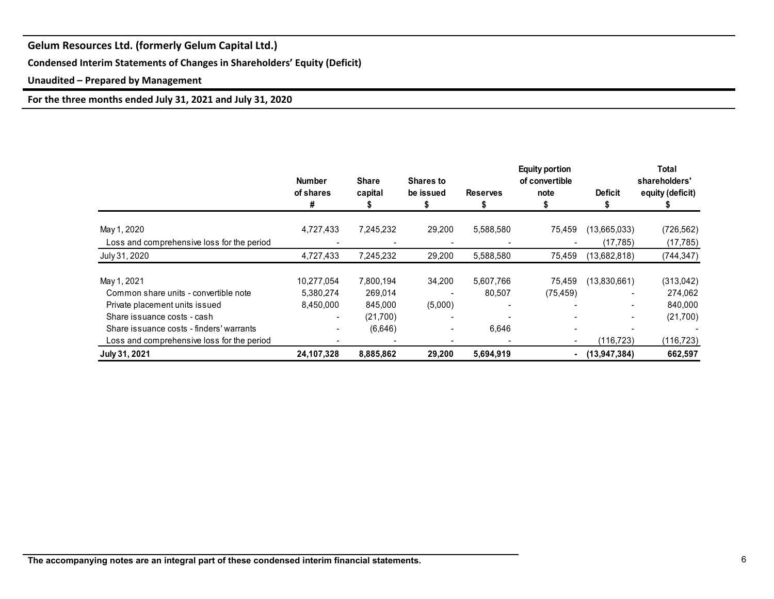**Condensed Interim Statements of Changes in Shareholders' Equity (Deficit)**

**Unaudited – Prepared by Management**

**For the three months ended July 31, 2021 and July 31, 2020**

|                                            | <b>Number</b><br>of shares<br># | <b>Share</b><br>capital | <b>Shares to</b><br>be issued | <b>Reserves</b> | <b>Equity portion</b><br>of convertible<br>note | <b>Deficit</b> | Total<br>shareholders'<br>equity (deficit) |
|--------------------------------------------|---------------------------------|-------------------------|-------------------------------|-----------------|-------------------------------------------------|----------------|--------------------------------------------|
| May 1, 2020                                | 4,727,433                       | 7,245,232               | 29,200                        | 5,588,580       | 75,459                                          | (13,665,033)   | (726, 562)                                 |
| Loss and comprehensive loss for the period |                                 |                         |                               |                 |                                                 | (17, 785)      | (17, 785)                                  |
| July 31, 2020                              | 4,727,433                       | 7,245,232               | 29,200                        | 5,588,580       | 75,459                                          | (13,682,818)   | (744, 347)                                 |
| May 1, 2021                                | 10,277,054                      | 7,800,194               | 34,200                        | 5,607,766       | 75,459                                          | (13,830,661)   | (313,042)                                  |
| Common share units - convertible note      | 5,380,274                       | 269,014                 |                               | 80,507          | (75, 459)                                       |                | 274,062                                    |
| Private placement units issued             | 8,450,000                       | 845,000                 | (5,000)                       |                 |                                                 |                | 840,000                                    |
| Share issuance costs - cash                |                                 | (21,700)                |                               |                 | $\overline{\phantom{0}}$                        |                | (21,700)                                   |
| Share is suance costs - finders' warrants  |                                 | (6,646)                 |                               | 6,646           |                                                 |                |                                            |
| Loss and comprehensive loss for the period |                                 |                         |                               |                 |                                                 | (116, 723)     | (116, 723)                                 |
| July 31, 2021                              | 24,107,328                      | 8,885,862               | 29,200                        | 5,694,919       | ۰                                               | (13.947.384)   | 662,597                                    |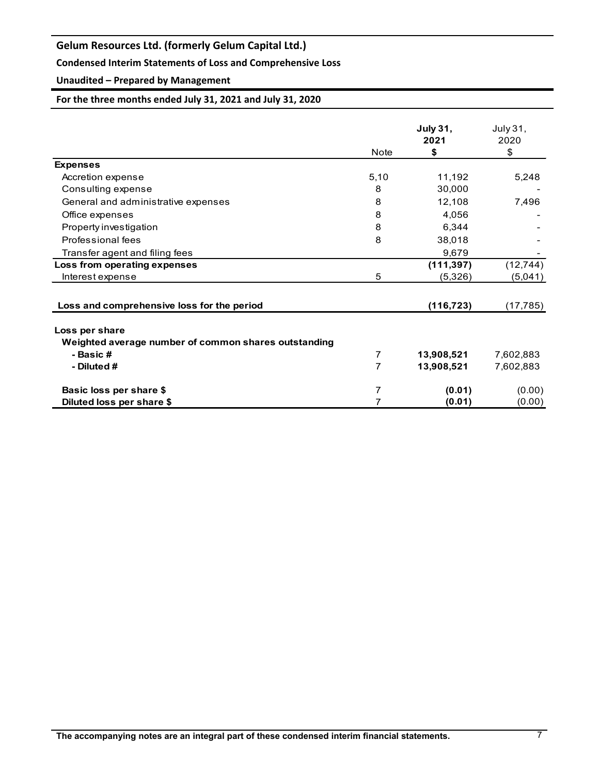## **Condensed Interim Statements of Loss and Comprehensive Loss**

# **Unaudited – Prepared by Management**

## **For the three months ended July 31, 2021 and July 31, 2020**

|                                                                        | Note | <b>July 31,</b><br>2021<br>\$ | July 31,<br>2020<br>\$ |
|------------------------------------------------------------------------|------|-------------------------------|------------------------|
| <b>Expenses</b>                                                        |      |                               |                        |
| Accretion expense                                                      | 5,10 | 11,192                        | 5,248                  |
| Consulting expense                                                     | 8    | 30,000                        |                        |
| General and administrative expenses                                    | 8    | 12,108                        | 7,496                  |
| Office expenses                                                        | 8    | 4,056                         |                        |
| Property investigation                                                 | 8    | 6,344                         |                        |
| Professional fees                                                      | 8    | 38,018                        |                        |
| Transfer agent and filing fees                                         |      | 9,679                         |                        |
| Loss from operating expenses                                           |      | (111, 397)                    | (12, 744)              |
| Interest expense                                                       | 5    | (5,326)                       | (5,041)                |
| Loss and comprehensive loss for the period                             |      | (116, 723)                    | (17, 785)              |
| Loss per share<br>Weighted average number of common shares outstanding |      |                               |                        |
| - Basic#                                                               | 7    | 13,908,521                    | 7,602,883              |
| - Diluted #                                                            | 7    | 13,908,521                    | 7,602,883              |
| Basic loss per share \$                                                | 7    | (0.01)                        | (0.00)                 |
| Diluted loss per share \$                                              | 7    | (0.01)                        | (0.00)                 |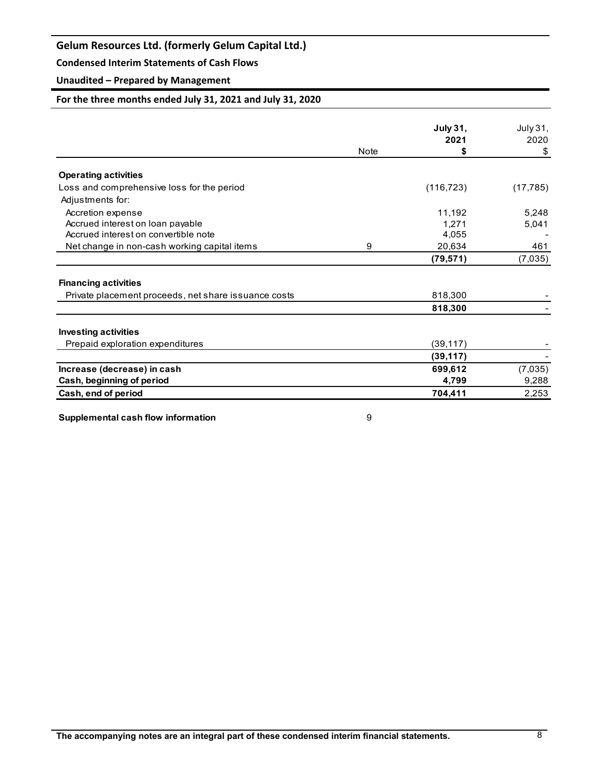## **Condensed Interim Statements of Cash Flows**

## **Unaudited – Prepared by Management**

## **For the three months ended July 31, 2021 and July 31, 2020**

|                                                       |             | <b>July 31,</b> | July 31,  |
|-------------------------------------------------------|-------------|-----------------|-----------|
|                                                       |             | 2021            | 2020      |
|                                                       | <b>Note</b> | \$              | \$        |
|                                                       |             |                 |           |
| <b>Operating activities</b>                           |             |                 |           |
| Loss and comprehensive loss for the period            |             | (116, 723)      | (17, 785) |
| Adjustments for:                                      |             |                 |           |
| Accretion expense                                     |             | 11,192          | 5,248     |
| Accrued interest on loan payable                      |             | 1.271           | 5,041     |
| Accrued interest on convertible note                  |             | 4,055           |           |
| Net change in non-cash working capital items          | 9           | 20,634          | 461       |
|                                                       |             | (79, 571)       | (7,035)   |
| <b>Financing activities</b>                           |             |                 |           |
| Private placement proceeds, net share is suance costs |             | 818,300         |           |
|                                                       |             | 818,300         |           |
| <b>Investing activities</b>                           |             |                 |           |
| Prepaid exploration expenditures                      |             | (39, 117)       |           |
|                                                       |             | (39, 117)       |           |
| Increase (decrease) in cash                           |             | 699,612         | (7,035)   |
| Cash, beginning of period                             |             | 4,799           | 9,288     |
| Cash, end of period                                   |             | 704,411         | 2,253     |

**Supplemental cash flow information** 8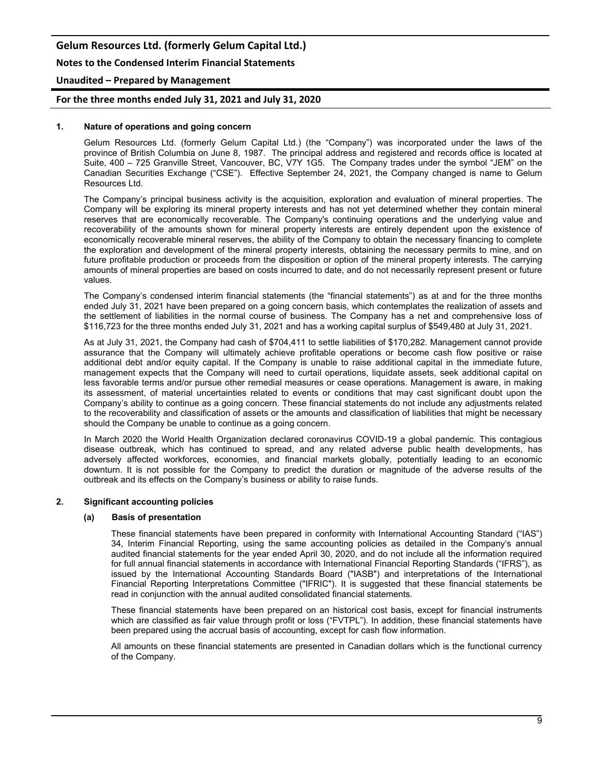**Notes to the Condensed Interim Financial Statements**

## **Unaudited – Prepared by Management**

### **For the three months ended July 31, 2021 and July 31, 2020**

#### **1. Nature of operations and going concern**

Gelum Resources Ltd. (formerly Gelum Capital Ltd.) (the "Company") was incorporated under the laws of the province of British Columbia on June 8, 1987. The principal address and registered and records office is located at Suite, 400 – 725 Granville Street, Vancouver, BC, V7Y 1G5. The Company trades under the symbol "JEM" on the Canadian Securities Exchange ("CSE"). Effective September 24, 2021, the Company changed is name to Gelum Resources Ltd.

The Company's principal business activity is the acquisition, exploration and evaluation of mineral properties. The Company will be exploring its mineral property interests and has not yet determined whether they contain mineral reserves that are economically recoverable. The Company's continuing operations and the underlying value and recoverability of the amounts shown for mineral property interests are entirely dependent upon the existence of economically recoverable mineral reserves, the ability of the Company to obtain the necessary financing to complete the exploration and development of the mineral property interests, obtaining the necessary permits to mine, and on future profitable production or proceeds from the disposition or option of the mineral property interests. The carrying amounts of mineral properties are based on costs incurred to date, and do not necessarily represent present or future values.

The Company's condensed interim financial statements (the "financial statements") as at and for the three months ended July 31, 2021 have been prepared on a going concern basis, which contemplates the realization of assets and the settlement of liabilities in the normal course of business. The Company has a net and comprehensive loss of \$116,723 for the three months ended July 31, 2021 and has a working capital surplus of \$549,480 at July 31, 2021.

As at July 31, 2021, the Company had cash of \$704,411 to settle liabilities of \$170,282. Management cannot provide assurance that the Company will ultimately achieve profitable operations or become cash flow positive or raise additional debt and/or equity capital. If the Company is unable to raise additional capital in the immediate future, management expects that the Company will need to curtail operations, liquidate assets, seek additional capital on less favorable terms and/or pursue other remedial measures or cease operations. Management is aware, in making its assessment, of material uncertainties related to events or conditions that may cast significant doubt upon the Company's ability to continue as a going concern. These financial statements do not include any adjustments related to the recoverability and classification of assets or the amounts and classification of liabilities that might be necessary should the Company be unable to continue as a going concern.

In March 2020 the World Health Organization declared coronavirus COVID-19 a global pandemic. This contagious disease outbreak, which has continued to spread, and any related adverse public health developments, has adversely affected workforces, economies, and financial markets globally, potentially leading to an economic downturn. It is not possible for the Company to predict the duration or magnitude of the adverse results of the outbreak and its effects on the Company's business or ability to raise funds.

#### **2. Significant accounting policies**

#### **(a) Basis of presentation**

These financial statements have been prepared in conformity with International Accounting Standard ("IAS") 34, Interim Financial Reporting, using the same accounting policies as detailed in the Company's annual audited financial statements for the year ended April 30, 2020, and do not include all the information required for full annual financial statements in accordance with International Financial Reporting Standards ("IFRS"), as issued by the International Accounting Standards Board ("IASB") and interpretations of the International Financial Reporting Interpretations Committee ("IFRIC"). It is suggested that these financial statements be read in conjunction with the annual audited consolidated financial statements.

These financial statements have been prepared on an historical cost basis, except for financial instruments which are classified as fair value through profit or loss ("FVTPL"). In addition, these financial statements have been prepared using the accrual basis of accounting, except for cash flow information.

All amounts on these financial statements are presented in Canadian dollars which is the functional currency of the Company.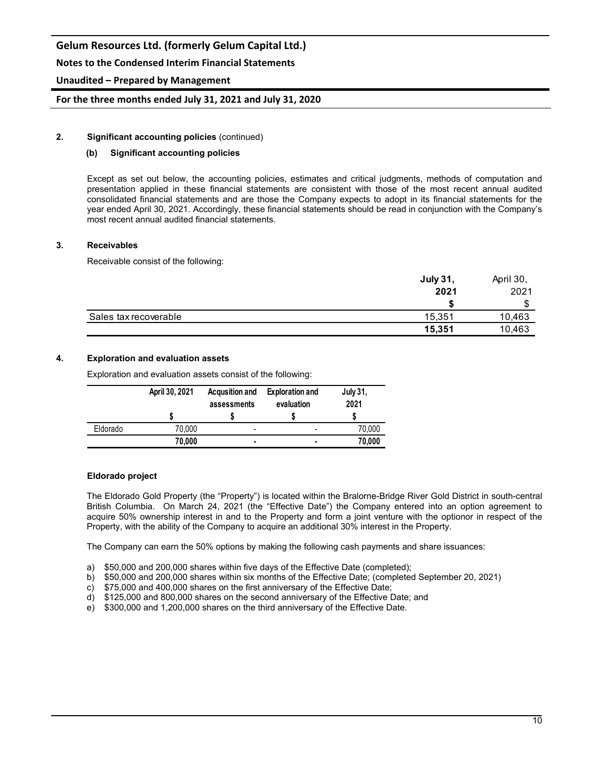## **Notes to the Condensed Interim Financial Statements**

## **Unaudited – Prepared by Management**

**For the three months ended July 31, 2021 and July 31, 2020**

### **2. Significant accounting policies** (continued)

## **(b) Significant accounting policies**

Except as set out below, the accounting policies, estimates and critical judgments, methods of computation and presentation applied in these financial statements are consistent with those of the most recent annual audited consolidated financial statements and are those the Company expects to adopt in its financial statements for the year ended April 30, 2021. Accordingly, these financial statements should be read in conjunction with the Company's most recent annual audited financial statements.

#### **3. Receivables**

Receivable consist of the following:

|                       | <b>July 31,</b> | April 30, |
|-----------------------|-----------------|-----------|
|                       | 2021            | 2021      |
|                       |                 | ጦ         |
| Sales tax recoverable | 15,351          | 10,463    |
|                       | 15,351          | 10,463    |

#### **4. Exploration and evaluation assets**

Exploration and evaluation assets consist of the following:

|          | April 30, 2021 | <b>Acqusition and</b><br>assessments | <b>Exploration and</b><br>evaluation | <b>July 31,</b><br>2021 |
|----------|----------------|--------------------------------------|--------------------------------------|-------------------------|
|          |                |                                      |                                      |                         |
| Eldorado | 70,000         |                                      |                                      | 70,000                  |
|          | 70,000         | ٠                                    |                                      | 70,000                  |

#### **Eldorado project**

The Eldorado Gold Property (the "Property") is located within the Bralorne-Bridge River Gold District in south-central British Columbia. On March 24, 2021 (the "Effective Date") the Company entered into an option agreement to acquire 50% ownership interest in and to the Property and form a joint venture with the optionor in respect of the Property, with the ability of the Company to acquire an additional 30% interest in the Property.

The Company can earn the 50% options by making the following cash payments and share issuances:

- a) \$50,000 and 200,000 shares within five days of the Effective Date (completed);
- b) \$50,000 and 200,000 shares within six months of the Effective Date; (completed September 20, 2021)
- c) \$75,000 and 400,000 shares on the first anniversary of the Effective Date;
- d) \$125,000 and 800,000 shares on the second anniversary of the Effective Date; and
- e) \$300,000 and 1,200,000 shares on the third anniversary of the Effective Date.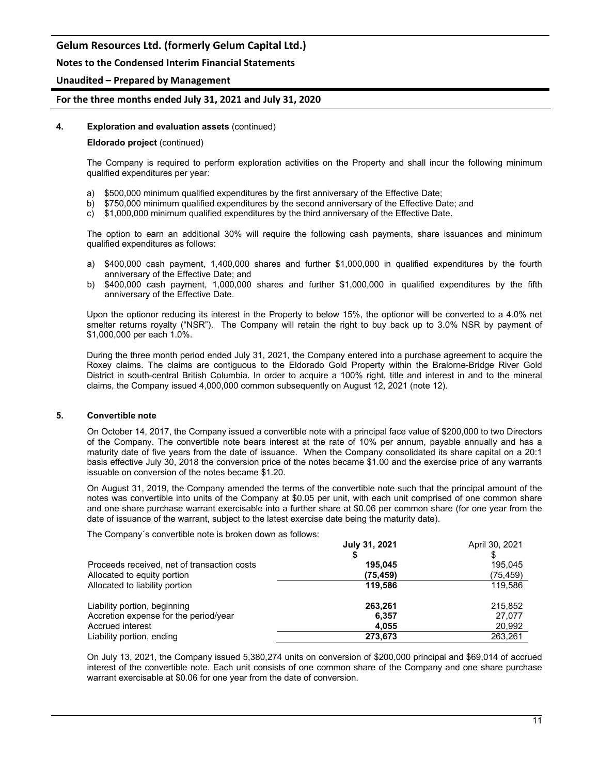## **Notes to the Condensed Interim Financial Statements**

### **Unaudited – Prepared by Management**

### **For the three months ended July 31, 2021 and July 31, 2020**

#### **4. Exploration and evaluation assets** (continued)

#### **Eldorado project** (continued)

The Company is required to perform exploration activities on the Property and shall incur the following minimum qualified expenditures per year:

- a) \$500,000 minimum qualified expenditures by the first anniversary of the Effective Date;
- b) \$750,000 minimum qualified expenditures by the second anniversary of the Effective Date; and
- c) \$1,000,000 minimum qualified expenditures by the third anniversary of the Effective Date.

The option to earn an additional 30% will require the following cash payments, share issuances and minimum qualified expenditures as follows:

- a) \$400,000 cash payment, 1,400,000 shares and further \$1,000,000 in qualified expenditures by the fourth anniversary of the Effective Date; and
- b) \$400,000 cash payment, 1,000,000 shares and further \$1,000,000 in qualified expenditures by the fifth anniversary of the Effective Date.

Upon the optionor reducing its interest in the Property to below 15%, the optionor will be converted to a 4.0% net smelter returns royalty ("NSR"). The Company will retain the right to buy back up to 3.0% NSR by payment of \$1,000,000 per each 1.0%.

During the three month period ended July 31, 2021, the Company entered into a purchase agreement to acquire the Roxey claims. The claims are contiguous to the Eldorado Gold Property within the Bralorne-Bridge River Gold District in south-central British Columbia. In order to acquire a 100% right, title and interest in and to the mineral claims, the Company issued 4,000,000 common subsequently on August 12, 2021 (note 12).

#### **5. Convertible note**

On October 14, 2017, the Company issued a convertible note with a principal face value of \$200,000 to two Directors of the Company. The convertible note bears interest at the rate of 10% per annum, payable annually and has a maturity date of five years from the date of issuance. When the Company consolidated its share capital on a 20:1 basis effective July 30, 2018 the conversion price of the notes became \$1.00 and the exercise price of any warrants issuable on conversion of the notes became \$1.20.

On August 31, 2019, the Company amended the terms of the convertible note such that the principal amount of the notes was convertible into units of the Company at \$0.05 per unit, with each unit comprised of one common share and one share purchase warrant exercisable into a further share at \$0.06 per common share (for one year from the date of issuance of the warrant, subject to the latest exercise date being the maturity date).

The Company´s convertible note is broken down as follows:

|                                             | July 31, 2021 | April 30, 2021 |
|---------------------------------------------|---------------|----------------|
|                                             |               |                |
| Proceeds received, net of transaction costs | 195.045       | 195.045        |
| Allocated to equity portion                 | (75, 459)     | (75, 459)      |
| Allocated to liability portion              | 119.586       | 119.586        |
| Liability portion, beginning                | 263,261       | 215,852        |
| Accretion expense for the period/year       | 6,357         | 27.077         |
| Accrued interest                            | 4.055         | 20,992         |
| Liability portion, ending                   | 273.673       | 263.261        |

On July 13, 2021, the Company issued 5,380,274 units on conversion of \$200,000 principal and \$69,014 of accrued interest of the convertible note. Each unit consists of one common share of the Company and one share purchase warrant exercisable at \$0.06 for one year from the date of conversion.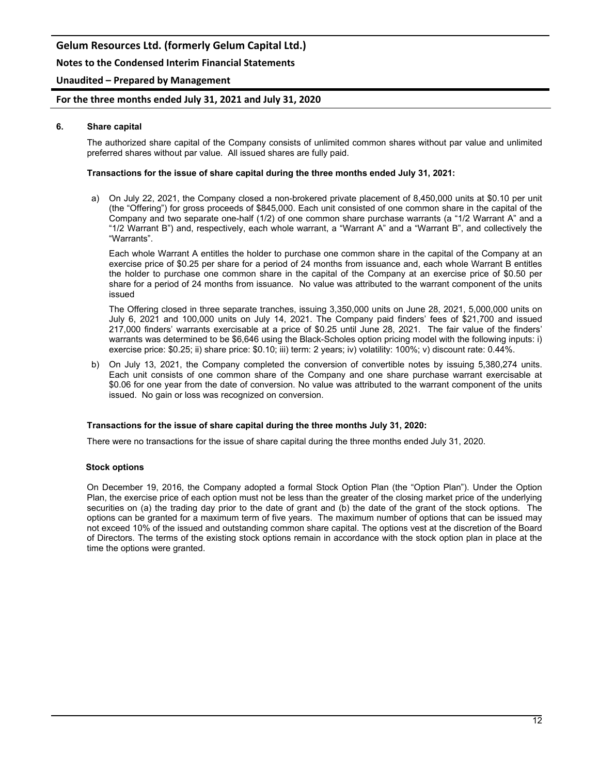## **Notes to the Condensed Interim Financial Statements**

### **Unaudited – Prepared by Management**

### **For the three months ended July 31, 2021 and July 31, 2020**

#### **6. Share capital**

The authorized share capital of the Company consists of unlimited common shares without par value and unlimited preferred shares without par value. All issued shares are fully paid.

#### **Transactions for the issue of share capital during the three months ended July 31, 2021:**

a) On July 22, 2021, the Company closed a non-brokered private placement of 8,450,000 units at \$0.10 per unit (the "Offering") for gross proceeds of \$845,000. Each unit consisted of one common share in the capital of the Company and two separate one-half (1/2) of one common share purchase warrants (a "1/2 Warrant A" and a "1/2 Warrant B") and, respectively, each whole warrant, a "Warrant A" and a "Warrant B", and collectively the "Warrants".

Each whole Warrant A entitles the holder to purchase one common share in the capital of the Company at an exercise price of \$0.25 per share for a period of 24 months from issuance and, each whole Warrant B entitles the holder to purchase one common share in the capital of the Company at an exercise price of \$0.50 per share for a period of 24 months from issuance. No value was attributed to the warrant component of the units issued

The Offering closed in three separate tranches, issuing 3,350,000 units on June 28, 2021, 5,000,000 units on July 6, 2021 and 100,000 units on July 14, 2021. The Company paid finders' fees of \$21,700 and issued 217,000 finders' warrants exercisable at a price of \$0.25 until June 28, 2021. The fair value of the finders' warrants was determined to be \$6,646 using the Black-Scholes option pricing model with the following inputs: i) exercise price: \$0.25; ii) share price: \$0.10; iii) term: 2 years; iv) volatility: 100%; v) discount rate: 0.44%.

b) On July 13, 2021, the Company completed the conversion of convertible notes by issuing 5,380,274 units. Each unit consists of one common share of the Company and one share purchase warrant exercisable at \$0.06 for one year from the date of conversion. No value was attributed to the warrant component of the units issued. No gain or loss was recognized on conversion.

#### **Transactions for the issue of share capital during the three months July 31, 2020:**

There were no transactions for the issue of share capital during the three months ended July 31, 2020.

#### **Stock options**

On December 19, 2016, the Company adopted a formal Stock Option Plan (the "Option Plan"). Under the Option Plan, the exercise price of each option must not be less than the greater of the closing market price of the underlying securities on (a) the trading day prior to the date of grant and (b) the date of the grant of the stock options. The options can be granted for a maximum term of five years. The maximum number of options that can be issued may not exceed 10% of the issued and outstanding common share capital. The options vest at the discretion of the Board of Directors. The terms of the existing stock options remain in accordance with the stock option plan in place at the time the options were granted.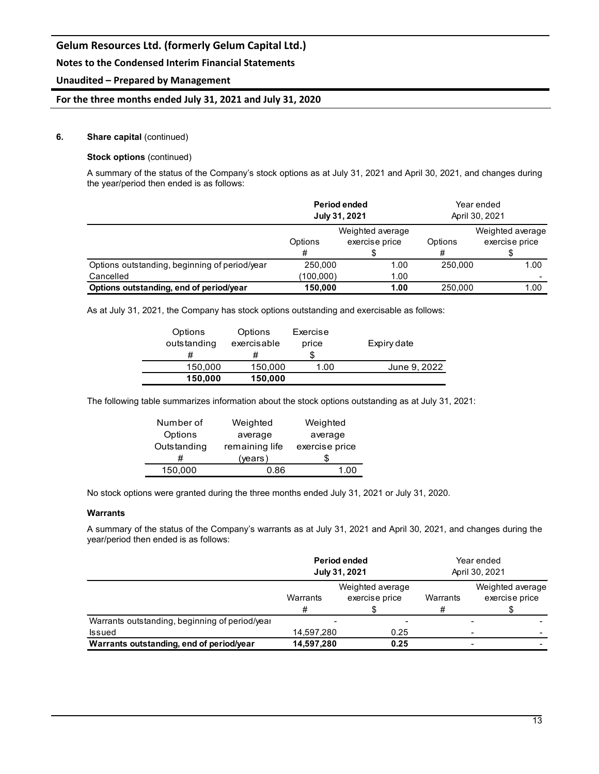## **Notes to the Condensed Interim Financial Statements**

## **Unaudited – Prepared by Management**

## **For the three months ended July 31, 2021 and July 31, 2020**

### **6. Share capital** (continued)

## **Stock options** (continued)

A summary of the status of the Company's stock options as at July 31, 2021 and April 30, 2021, and changes during the year/period then ended is as follows:

|                                               | Period ended<br>July 31, 2021 |                                    | Year ended<br>April 30, 2021<br>Weighted average<br>exercise price<br>Options<br># |      |
|-----------------------------------------------|-------------------------------|------------------------------------|------------------------------------------------------------------------------------|------|
| Options<br>#                                  |                               | Weighted average<br>exercise price |                                                                                    |      |
| Options outstanding, beginning of period/year | 250,000<br>1.00               |                                    | 250,000                                                                            | 1.00 |
| Cancelled                                     | (100,000)<br>1.00             |                                    |                                                                                    |      |
| Options outstanding, end of period/year       | 150.000                       | 1.00                               | 250,000                                                                            | 1.00 |

As at July 31, 2021, the Company has stock options outstanding and exercisable as follows:

| Options<br>outstanding | Options<br>exercisable<br># | Exercise<br>price | Expiry date  |
|------------------------|-----------------------------|-------------------|--------------|
| 150,000                | 150,000                     | 1.00              | June 9, 2022 |
| 150,000                | 150,000                     |                   |              |

The following table summarizes information about the stock options outstanding as at July 31, 2021:

| Number of   | Weighted       | Weighted       |  |
|-------------|----------------|----------------|--|
| Options     | average        | average        |  |
| Outstanding | remaining life | exercise price |  |
| #           | (years)        |                |  |
| 150.000     | 0.86           |                |  |

No stock options were granted during the three months ended July 31, 2021 or July 31, 2020.

#### **Warrants**

A summary of the status of the Company's warrants as at July 31, 2021 and April 30, 2021, and changes during the year/period then ended is as follows:

|                                                |                                                     | Period ended<br>July 31, 2021 | Year ended<br>April 30, 2021 |                                    |  |
|------------------------------------------------|-----------------------------------------------------|-------------------------------|------------------------------|------------------------------------|--|
|                                                | Weighted average<br>exercise price<br>Warrants<br># |                               | Warrants<br>#                | Weighted average<br>exercise price |  |
| Warrants outstanding, beginning of period/year |                                                     |                               |                              |                                    |  |
| <b>Issued</b>                                  | 14,597,280                                          | 0.25                          |                              | $\overline{\phantom{a}}$           |  |
| Warrants outstanding, end of period/year       | 14,597,280                                          | 0.25                          |                              | -                                  |  |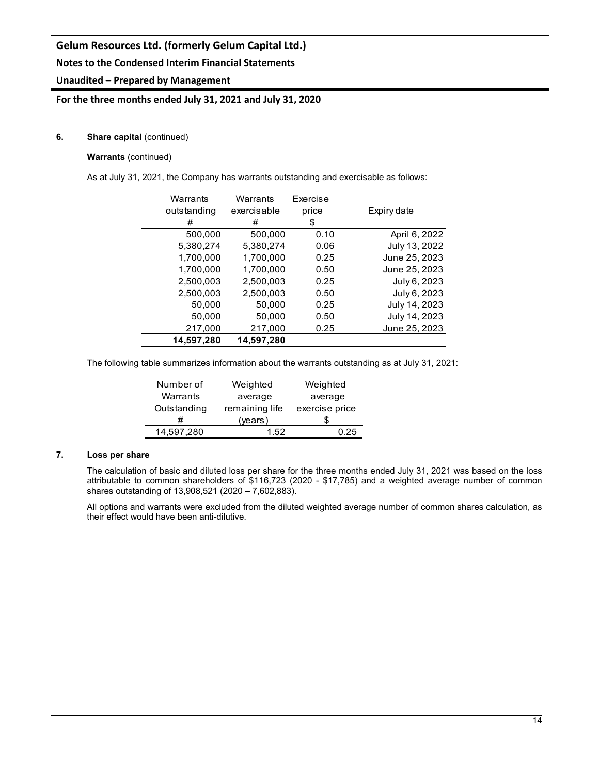## **Notes to the Condensed Interim Financial Statements**

## **Unaudited – Prepared by Management**

## **For the three months ended July 31, 2021 and July 31, 2020**

## **6.** Share capital (continued)

## **Warrants** (continued)

As at July 31, 2021, the Company has warrants outstanding and exercisable as follows:

| Warrants    | Warrants    | Exercise |               |
|-------------|-------------|----------|---------------|
| outstanding | exercisable | price    | Expiry date   |
| #           | #           | \$       |               |
| 500,000     | 500,000     | 0.10     | April 6, 2022 |
| 5,380,274   | 5,380,274   | 0.06     | July 13, 2022 |
| 1,700,000   | 1,700,000   | 0.25     | June 25, 2023 |
| 1.700.000   | 1.700.000   | 0.50     | June 25, 2023 |
| 2,500,003   | 2,500,003   | 0.25     | July 6, 2023  |
| 2,500,003   | 2,500,003   | 0.50     | July 6, 2023  |
| 50,000      | 50,000      | 0.25     | July 14, 2023 |
| 50,000      | 50,000      | 0.50     | July 14, 2023 |
| 217,000     | 217,000     | 0.25     | June 25, 2023 |
| 14,597,280  | 14,597,280  |          |               |

The following table summarizes information about the warrants outstanding as at July 31, 2021:

| Number of   | Weighted       | Weighted       |  |
|-------------|----------------|----------------|--|
| Warrants    | average        | average        |  |
| Outstanding | remaining life | exercise price |  |
|             | (years)        |                |  |
| 14,597,280  | 1.52           | 0.25           |  |

## **7. Loss per share**

The calculation of basic and diluted loss per share for the three months ended July 31, 2021 was based on the loss attributable to common shareholders of \$116,723 (2020 - \$17,785) and a weighted average number of common shares outstanding of 13,908,521 (2020 – 7,602,883).

All options and warrants were excluded from the diluted weighted average number of common shares calculation, as their effect would have been anti-dilutive.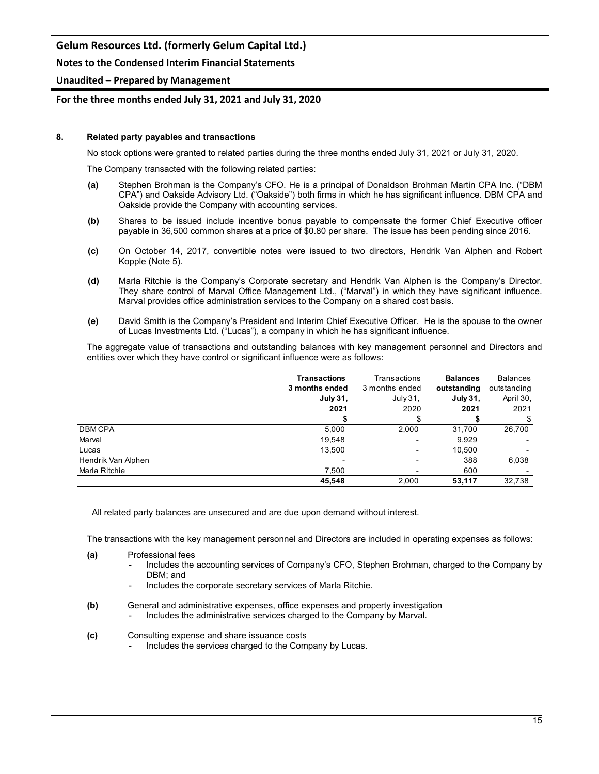## **Notes to the Condensed Interim Financial Statements**

## **Unaudited – Prepared by Management**

## **For the three months ended July 31, 2021 and July 31, 2020**

#### **8. Related party payables and transactions**

No stock options were granted to related parties during the three months ended July 31, 2021 or July 31, 2020.

The Company transacted with the following related parties:

- **(a)** Stephen Brohman is the Company's CFO. He is a principal of Donaldson Brohman Martin CPA Inc. ("DBM CPA") and Oakside Advisory Ltd. ("Oakside") both firms in which he has significant influence. DBM CPA and Oakside provide the Company with accounting services.
- **(b)** Shares to be issued include incentive bonus payable to compensate the former Chief Executive officer payable in 36,500 common shares at a price of \$0.80 per share. The issue has been pending since 2016.
- **(c)** On October 14, 2017, convertible notes were issued to two directors, Hendrik Van Alphen and Robert Kopple (Note 5).
- **(d)** Marla Ritchie is the Company's Corporate secretary and Hendrik Van Alphen is the Company's Director. They share control of Marval Office Management Ltd., ("Marval") in which they have significant influence. Marval provides office administration services to the Company on a shared cost basis.
- **(e)** David Smith is the Company's President and Interim Chief Executive Officer. He is the spouse to the owner of Lucas Investments Ltd. ("Lucas"), a company in which he has significant influence.

The aggregate value of transactions and outstanding balances with key management personnel and Directors and entities over which they have control or significant influence were as follows:

|                    | <b>Transactions</b> | Transactions             | <b>Balances</b> | <b>Balances</b> |
|--------------------|---------------------|--------------------------|-----------------|-----------------|
|                    | 3 months ended      | 3 months ended           | outstanding     | outstanding     |
|                    | July 31,            | July 31,                 | <b>July 31,</b> | April 30,       |
|                    | 2021                | 2020                     | 2021            | 2021            |
|                    |                     |                          |                 | \$              |
| <b>DBMCPA</b>      | 5,000               | 2,000                    | 31,700          | 26,700          |
| Marval             | 19,548              | -                        | 9.929           |                 |
| Lucas              | 13,500              | -                        | 10,500          |                 |
| Hendrik Van Alphen |                     | $\overline{\phantom{0}}$ | 388             | 6,038           |
| Marla Ritchie      | 7,500               | -                        | 600             |                 |
|                    | 45.548              | 2.000                    | 53.117          | 32.738          |

All related party balances are unsecured and are due upon demand without interest.

The transactions with the key management personnel and Directors are included in operating expenses as follows:

- **(a)** Professional fees
	- Includes the accounting services of Company's CFO, Stephen Brohman, charged to the Company by DBM; and
	- Includes the corporate secretary services of Marla Ritchie.
- **(b)** General and administrative expenses, office expenses and property investigation
	- Includes the administrative services charged to the Company by Marval.
- **(c)** Consulting expense and share issuance costs
	- Includes the services charged to the Company by Lucas.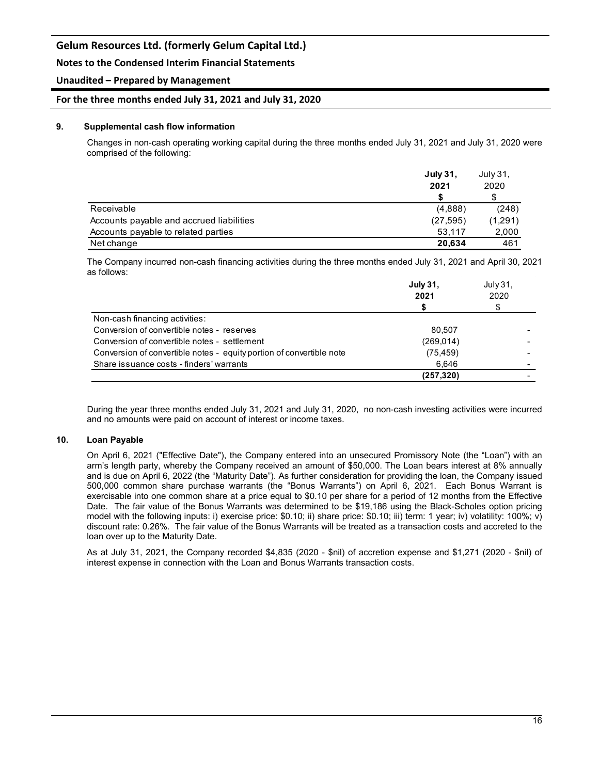## **Notes to the Condensed Interim Financial Statements**

## **Unaudited – Prepared by Management**

### **For the three months ended July 31, 2021 and July 31, 2020**

#### **9. Supplemental cash flow information**

Changes in non-cash operating working capital during the three months ended July 31, 2021 and July 31, 2020 were comprised of the following:

|                                          | <b>July 31,</b> | July 31.<br>2020<br>S |
|------------------------------------------|-----------------|-----------------------|
|                                          | 2021            |                       |
|                                          |                 |                       |
| Receivable                               | (4,888)         | (248)                 |
| Accounts payable and accrued liabilities | (27, 595)       | (1,291)               |
| Accounts payable to related parties      | 53.117          | 2,000                 |
| Net change                               | 20.634          | 461                   |

The Company incurred non-cash financing activities during the three months ended July 31, 2021 and April 30, 2021 as follows:

|                                                                      | July 31,<br>2021 | July 31.<br>2020 |  |
|----------------------------------------------------------------------|------------------|------------------|--|
|                                                                      |                  |                  |  |
| Non-cash financing activities:                                       |                  |                  |  |
| Conversion of convertible notes - reserves                           | 80.507           |                  |  |
| Conversion of convertible notes - settlement                         | (269.014)        |                  |  |
| Conversion of convertible notes - equity portion of convertible note | (75, 459)        |                  |  |
| Share issuance costs - finders' warrants                             | 6.646            |                  |  |
|                                                                      | (257, 320)       |                  |  |

During the year three months ended July 31, 2021 and July 31, 2020, no non-cash investing activities were incurred and no amounts were paid on account of interest or income taxes.

#### **10. Loan Payable**

On April 6, 2021 ("Effective Date"), the Company entered into an unsecured Promissory Note (the "Loan") with an arm's length party, whereby the Company received an amount of \$50,000. The Loan bears interest at 8% annually and is due on April 6, 2022 (the "Maturity Date"). As further consideration for providing the loan, the Company issued 500,000 common share purchase warrants (the "Bonus Warrants") on April 6, 2021. Each Bonus Warrant is exercisable into one common share at a price equal to \$0.10 per share for a period of 12 months from the Effective Date. The fair value of the Bonus Warrants was determined to be \$19,186 using the Black-Scholes option pricing model with the following inputs: i) exercise price: \$0.10; ii) share price: \$0.10; iii) term: 1 year; iv) volatility: 100%; v) discount rate: 0.26%. The fair value of the Bonus Warrants will be treated as a transaction costs and accreted to the loan over up to the Maturity Date.

As at July 31, 2021, the Company recorded \$4,835 (2020 - \$nil) of accretion expense and \$1,271 (2020 - \$nil) of interest expense in connection with the Loan and Bonus Warrants transaction costs.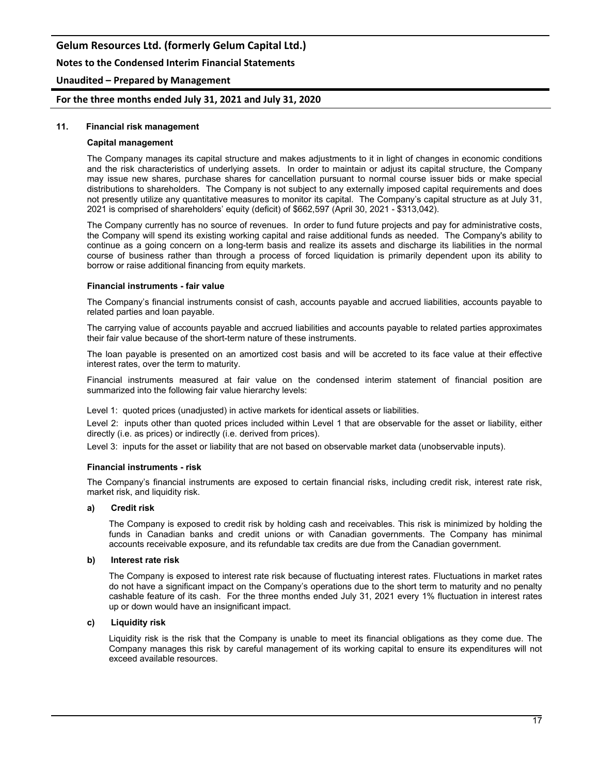### **Notes to the Condensed Interim Financial Statements**

### **Unaudited – Prepared by Management**

#### **For the three months ended July 31, 2021 and July 31, 2020**

#### **11. Financial risk management**

#### **Capital management**

The Company manages its capital structure and makes adjustments to it in light of changes in economic conditions and the risk characteristics of underlying assets. In order to maintain or adjust its capital structure, the Company may issue new shares, purchase shares for cancellation pursuant to normal course issuer bids or make special distributions to shareholders. The Company is not subject to any externally imposed capital requirements and does not presently utilize any quantitative measures to monitor its capital. The Company's capital structure as at July 31, 2021 is comprised of shareholders' equity (deficit) of \$662,597 (April 30, 2021 - \$313,042).

The Company currently has no source of revenues. In order to fund future projects and pay for administrative costs, the Company will spend its existing working capital and raise additional funds as needed. The Company's ability to continue as a going concern on a long-term basis and realize its assets and discharge its liabilities in the normal course of business rather than through a process of forced liquidation is primarily dependent upon its ability to borrow or raise additional financing from equity markets.

#### **Financial instruments - fair value**

The Company's financial instruments consist of cash, accounts payable and accrued liabilities, accounts payable to related parties and loan payable.

The carrying value of accounts payable and accrued liabilities and accounts payable to related parties approximates their fair value because of the short-term nature of these instruments.

The loan payable is presented on an amortized cost basis and will be accreted to its face value at their effective interest rates, over the term to maturity.

Financial instruments measured at fair value on the condensed interim statement of financial position are summarized into the following fair value hierarchy levels:

Level 1: quoted prices (unadjusted) in active markets for identical assets or liabilities.

Level 2: inputs other than quoted prices included within Level 1 that are observable for the asset or liability, either directly (i.e. as prices) or indirectly (i.e. derived from prices).

Level 3: inputs for the asset or liability that are not based on observable market data (unobservable inputs).

#### **Financial instruments - risk**

The Company's financial instruments are exposed to certain financial risks, including credit risk, interest rate risk, market risk, and liquidity risk.

#### **a) Credit risk**

The Company is exposed to credit risk by holding cash and receivables. This risk is minimized by holding the funds in Canadian banks and credit unions or with Canadian governments. The Company has minimal accounts receivable exposure, and its refundable tax credits are due from the Canadian government.

#### **b) Interest rate risk**

The Company is exposed to interest rate risk because of fluctuating interest rates. Fluctuations in market rates do not have a significant impact on the Company's operations due to the short term to maturity and no penalty cashable feature of its cash. For the three months ended July 31, 2021 every 1% fluctuation in interest rates up or down would have an insignificant impact.

#### **c) Liquidity risk**

Liquidity risk is the risk that the Company is unable to meet its financial obligations as they come due. The Company manages this risk by careful management of its working capital to ensure its expenditures will not exceed available resources.